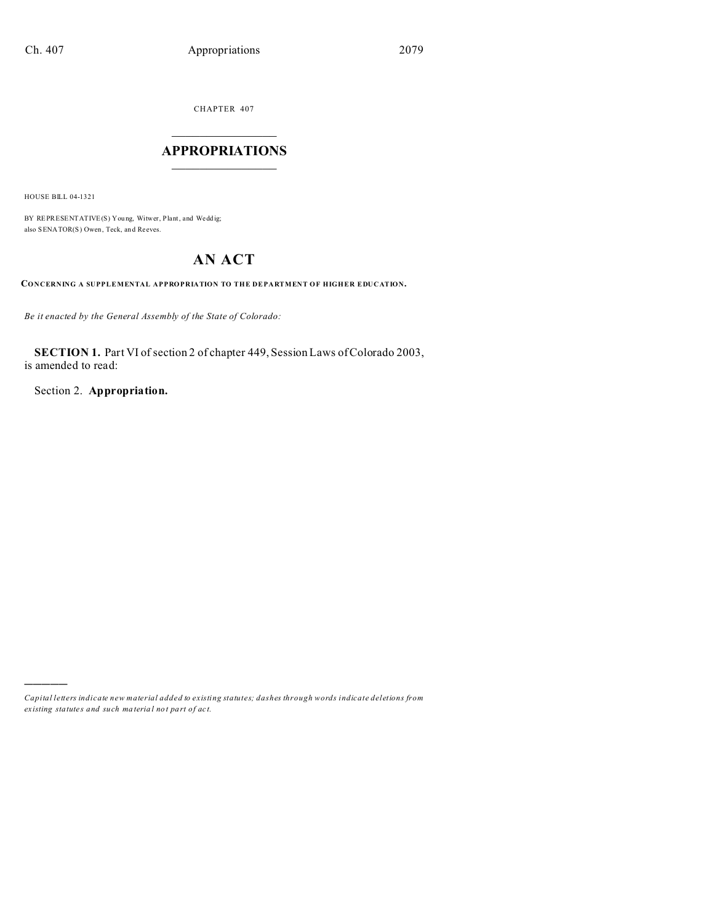CHAPTER 407  $\overline{\phantom{a}}$  , where  $\overline{\phantom{a}}$ 

## **APPROPRIATIONS**  $\_$   $\_$   $\_$   $\_$   $\_$   $\_$   $\_$   $\_$   $\_$

HOUSE BILL 04-1321

)))))

BY REPRESENTATIVE(S) Young, Witwer, Plant, and Weddig; also SENATOR(S) Owen, Teck, an d Reeves.

# **AN ACT**

**CONCERNING A SUPPLEMENTAL APPROPRIATION TO THE DEPARTMENT OF HIGHER EDUCATION.**

*Be it enacted by the General Assembly of the State of Colorado:*

**SECTION 1.** Part VI of section 2 of chapter 449, Session Laws of Colorado 2003, is amended to read:

Section 2. **Appropriation.**

*Capital letters indicate new material added to existing statutes; dashes through words indicate deletions from ex isting statute s and such ma teria l no t pa rt of ac t.*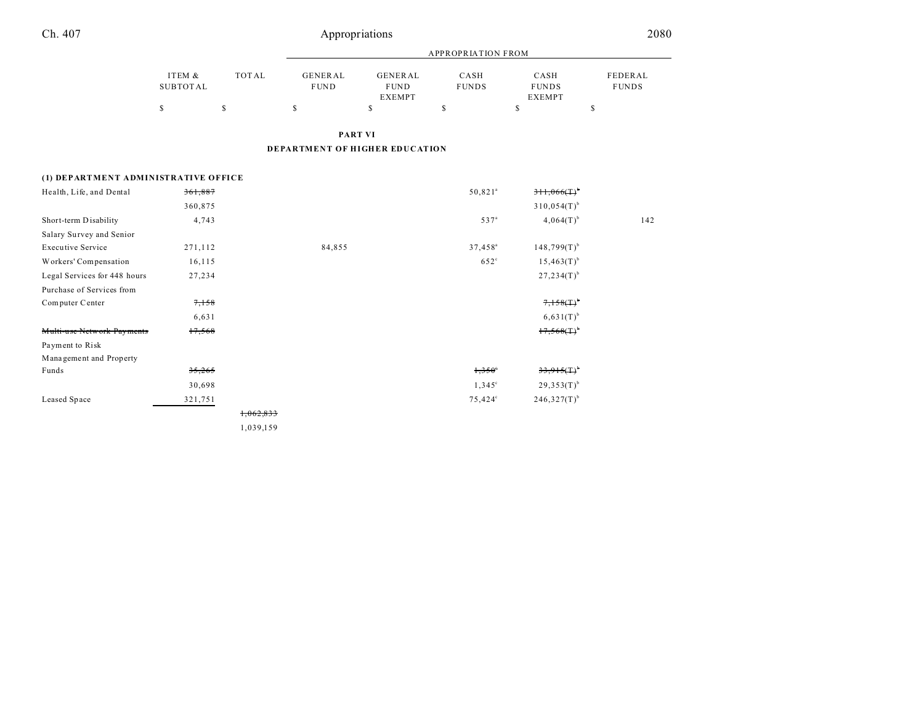|          |       |             | APPROPRIATION FROM |              |               |              |  |  |
|----------|-------|-------------|--------------------|--------------|---------------|--------------|--|--|
| ITEM &   | TOTAL | GENERAL     | GENERAL            | CASH         | CASH          | FEDERAL      |  |  |
| SUBTOTAL |       | <b>FUND</b> | <b>FUND</b>        | <b>FUNDS</b> | <b>FUNDS</b>  | <b>FUNDS</b> |  |  |
|          |       |             | <b>EXEMPT</b>      |              | <b>EXEMPT</b> |              |  |  |
|          |       |             |                    |              |               |              |  |  |

**PART VI**

**DEPARTMENT OF HIGHER EDUCATION**

## **(1) DEPARTMENT ADMINISTRATIVE OFFICE**

| Health, Life, and Dental     | 361,887 |           |        | $50,821$ <sup>a</sup> | $311,066(1)^{b}$          |     |
|------------------------------|---------|-----------|--------|-----------------------|---------------------------|-----|
|                              | 360,875 |           |        |                       | $310,054(T)$ <sup>b</sup> |     |
| Short-term Disability        | 4,743   |           |        | 537 <sup>a</sup>      | $4,064(T)$ <sup>b</sup>   | 142 |
| Salary Survey and Senior     |         |           |        |                       |                           |     |
| <b>Executive Service</b>     | 271,112 |           | 84,855 | $37,458^a$            | $148,799(T)^{b}$          |     |
| Workers' Compensation        | 16,115  |           |        | $652^\circ$           | $15,463(T)$ <sup>b</sup>  |     |
| Legal Services for 448 hours | 27,234  |           |        |                       | $27,234(T)$ <sup>b</sup>  |     |
| Purchase of Services from    |         |           |        |                       |                           |     |
| Computer Center              | 7,158   |           |        |                       | $7,158(1)^{6}$            |     |
|                              | 6,631   |           |        |                       | $6,631(T)^{b}$            |     |
| Multi-use Network Payments   | 17,568  |           |        |                       | $17,568(1)^{6}$           |     |
| Payment to Risk              |         |           |        |                       |                           |     |
| Management and Property      |         |           |        |                       |                           |     |
| Funds                        | 35,265  |           |        | $1,350^{\circ}$       | 33,915(1)                 |     |
|                              | 30,698  |           |        | $1,345^{\circ}$       | $29,353(T)^{b}$           |     |
| Leased Space                 | 321,751 |           |        | $75,424^{\circ}$      | $246,327(T)$ <sup>b</sup> |     |
|                              |         | 1,062,833 |        |                       |                           |     |
|                              |         | 1,039,159 |        |                       |                           |     |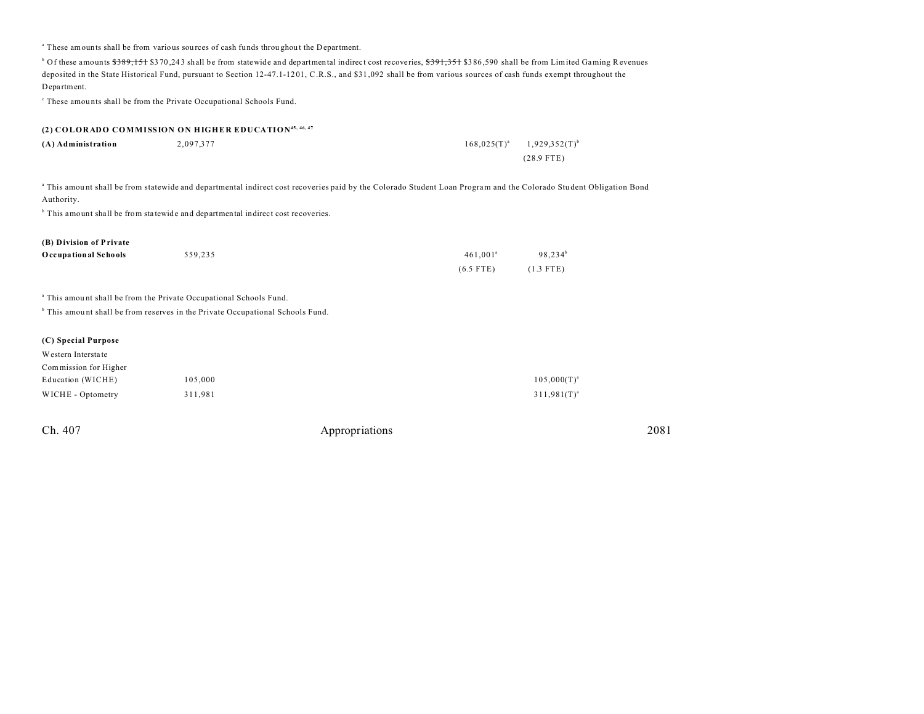| <sup>a</sup> These amounts shall be from various sources of cash funds throughout the Department. |           |                                                                                                                                                                                                                                                                                                                                                        |                      |                     |  |
|---------------------------------------------------------------------------------------------------|-----------|--------------------------------------------------------------------------------------------------------------------------------------------------------------------------------------------------------------------------------------------------------------------------------------------------------------------------------------------------------|----------------------|---------------------|--|
| Department.                                                                                       |           | <sup>b</sup> Of these amounts \$389, 151 \$370, 243 shall be from statewide and departmental indirect cost recoveries, \$391, 351 \$386, 590 shall be from Limited Gaming Revenues<br>deposited in the State Historical Fund, pursuant to Section 12-47.1-1201, C.R.S., and \$31,092 shall be from various sources of cash funds exempt throughout the |                      |                     |  |
| <sup>c</sup> These amounts shall be from the Private Occupational Schools Fund.                   |           |                                                                                                                                                                                                                                                                                                                                                        |                      |                     |  |
|                                                                                                   |           |                                                                                                                                                                                                                                                                                                                                                        |                      |                     |  |
| (2) COLORADO COMMISSION ON HIGHER EDUCATION <sup>45, 46, 47</sup>                                 |           |                                                                                                                                                                                                                                                                                                                                                        |                      |                     |  |
| (A) Administration                                                                                | 2,097,377 |                                                                                                                                                                                                                                                                                                                                                        | $168,025(T)^{a}$     | $1,929,352(T)^{b}$  |  |
|                                                                                                   |           |                                                                                                                                                                                                                                                                                                                                                        |                      | $(28.9$ FTE)        |  |
| Authority.                                                                                        |           | a This amount shall be from statewide and departmental indirect cost recoveries paid by the Colorado Student Loan Program and the Colorado Student Obligation Bond                                                                                                                                                                                     |                      |                     |  |
| <sup>b</sup> This amount shall be from statewide and departmental indirect cost recoveries.       |           |                                                                                                                                                                                                                                                                                                                                                        |                      |                     |  |
| (B) Division of Private                                                                           |           |                                                                                                                                                                                                                                                                                                                                                        |                      |                     |  |
| <b>Occupational Schools</b>                                                                       | 559,235   |                                                                                                                                                                                                                                                                                                                                                        | 461,001 <sup>ª</sup> | 98,234 <sup>b</sup> |  |
|                                                                                                   |           |                                                                                                                                                                                                                                                                                                                                                        | $(6.5$ FTE)          | $(1.3$ FTE)         |  |
| <sup>a</sup> This amount shall be from the Private Occupational Schools Fund.                     |           |                                                                                                                                                                                                                                                                                                                                                        |                      |                     |  |
| <sup>b</sup> This amount shall be from reserves in the Private Occupational Schools Fund.         |           |                                                                                                                                                                                                                                                                                                                                                        |                      |                     |  |
| (C) Special Purpose                                                                               |           |                                                                                                                                                                                                                                                                                                                                                        |                      |                     |  |
| Western Interstate                                                                                |           |                                                                                                                                                                                                                                                                                                                                                        |                      |                     |  |
| Commission for Higher                                                                             |           |                                                                                                                                                                                                                                                                                                                                                        |                      |                     |  |
| Education (WICHE)                                                                                 | 105,000   |                                                                                                                                                                                                                                                                                                                                                        |                      | $105,000(T)^{a}$    |  |
| WICHE - Optometry                                                                                 | 311,981   |                                                                                                                                                                                                                                                                                                                                                        |                      | $311,981(T)^{a}$    |  |
|                                                                                                   |           |                                                                                                                                                                                                                                                                                                                                                        |                      |                     |  |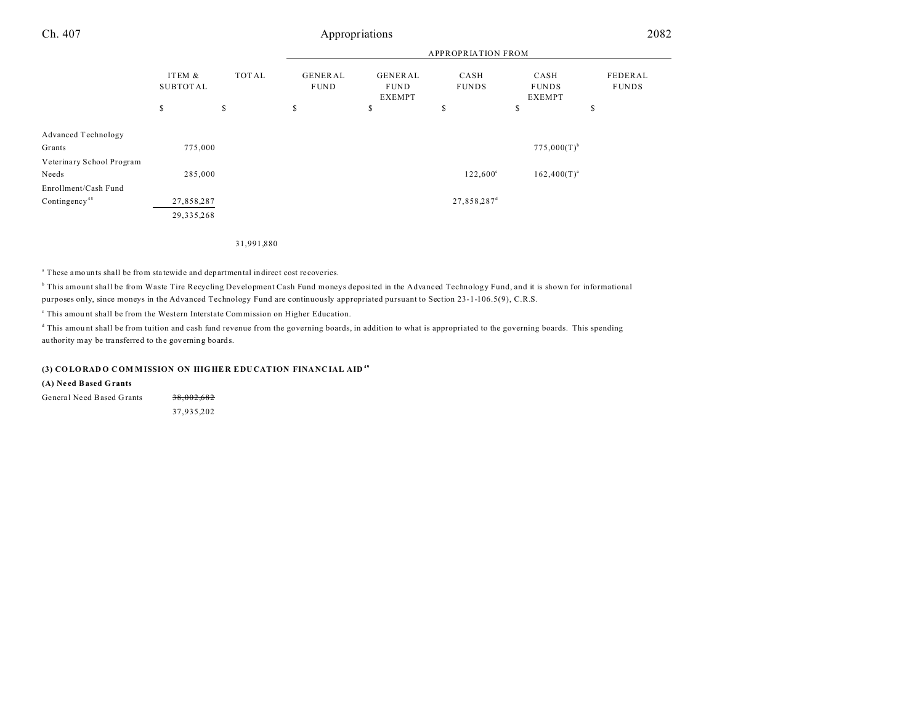|                           |                           |       | <b>APPROPRIATION FROM</b> |                                                |                         |                                       |                         |  |
|---------------------------|---------------------------|-------|---------------------------|------------------------------------------------|-------------------------|---------------------------------------|-------------------------|--|
|                           | ITEM &<br><b>SUBTOTAL</b> | TOTAL | GENERAL<br><b>FUND</b>    | <b>GENERAL</b><br><b>FUND</b><br><b>EXEMPT</b> | CASH<br><b>FUNDS</b>    | CASH<br><b>FUNDS</b><br><b>EXEMPT</b> | FEDERAL<br><b>FUNDS</b> |  |
|                           | $\mathbb{S}$              | \$    | \$                        | \$                                             | \$                      | \$                                    | \$                      |  |
|                           |                           |       |                           |                                                |                         |                                       |                         |  |
| Advanced Technology       |                           |       |                           |                                                |                         |                                       |                         |  |
| Grants                    | 775,000                   |       |                           |                                                |                         | $775,000(T)^{b}$                      |                         |  |
| Veterinary School Program |                           |       |                           |                                                |                         |                                       |                         |  |
| Needs                     | 285,000                   |       |                           |                                                | $122,600^{\circ}$       | $162,400(T)^{a}$                      |                         |  |
| Enrollment/Cash Fund      |                           |       |                           |                                                |                         |                                       |                         |  |
| Contingency <sup>48</sup> | 27,858,287                |       |                           |                                                | 27,858,287 <sup>d</sup> |                                       |                         |  |
|                           | 29, 335, 268              |       |                           |                                                |                         |                                       |                         |  |
|                           |                           |       |                           |                                                |                         |                                       |                         |  |

31,991,880

<sup>a</sup> These amounts shall be from statewide and departmental indirect cost recoveries.

b This amount shall be from Waste Tire Recycling Development Cash Fund moneys deposited in the Advanced Technology Fund, and it is shown for informational purposes only, since moneys in the Advanced Technology Fund are continuously appropriated pursuant to Section 23-1-106.5(9), C.R.S.

<sup>c</sup> This amount shall be from the Western Interstate Commission on Higher Education.

d This amou nt shall be from tuition and cash fund revenue from the governing boards, in addition to what is appropriated to the governing boards. This spending au thority may be tra nsferred to the governing boards.

#### **(3) CO LORAD O C OM M ISSION ON HIGHE R EDU CATION FINANC IAL AID <sup>49</sup>**

**(A) Ne ed Based Grants**

General Need Based Grants 38,002,682

37,935,202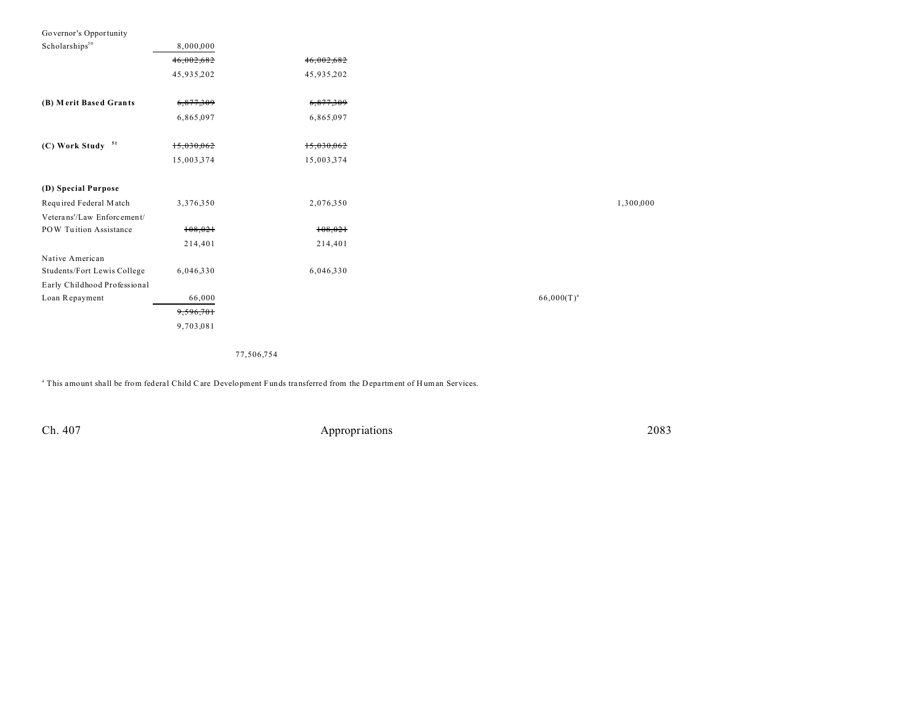| Governor's Opportunity       |            |            |                 |           |
|------------------------------|------------|------------|-----------------|-----------|
| Scholarships <sup>50</sup>   | 8,000,000  |            |                 |           |
|                              | 46,002,682 | 46,002,682 |                 |           |
|                              | 45,935,202 | 45,935,202 |                 |           |
| (B) Merit Based Grants       | 6,877,309  | 6,877,309  |                 |           |
|                              | 6,865,097  | 6,865,097  |                 |           |
| (C) Work Study 51            | 15,030,062 | 15,030,062 |                 |           |
|                              |            |            |                 |           |
|                              | 15,003,374 | 15,003,374 |                 |           |
| (D) Special Purpose          |            |            |                 |           |
| Required Federal Match       | 3,376,350  | 2,076,350  |                 | 1,300,000 |
| Veterans'/Law Enforcement/   |            |            |                 |           |
| POW Tuition Assistance       | 108,021    | 108,021    |                 |           |
|                              | 214,401    | 214,401    |                 |           |
| Native American              |            |            |                 |           |
| Students/Fort Lewis College  | 6,046,330  | 6,046,330  |                 |           |
| Early Childhood Professional |            |            |                 |           |
| Loan Repayment               | 66,000     |            | $66,000(T)^{a}$ |           |
|                              | 9,596,701  |            |                 |           |
|                              | 9,703,081  |            |                 |           |
|                              |            |            |                 |           |

77,506,754

<sup>a</sup> This amount shall be from federal Child Care Development Funds transferred from the Department of Human Services.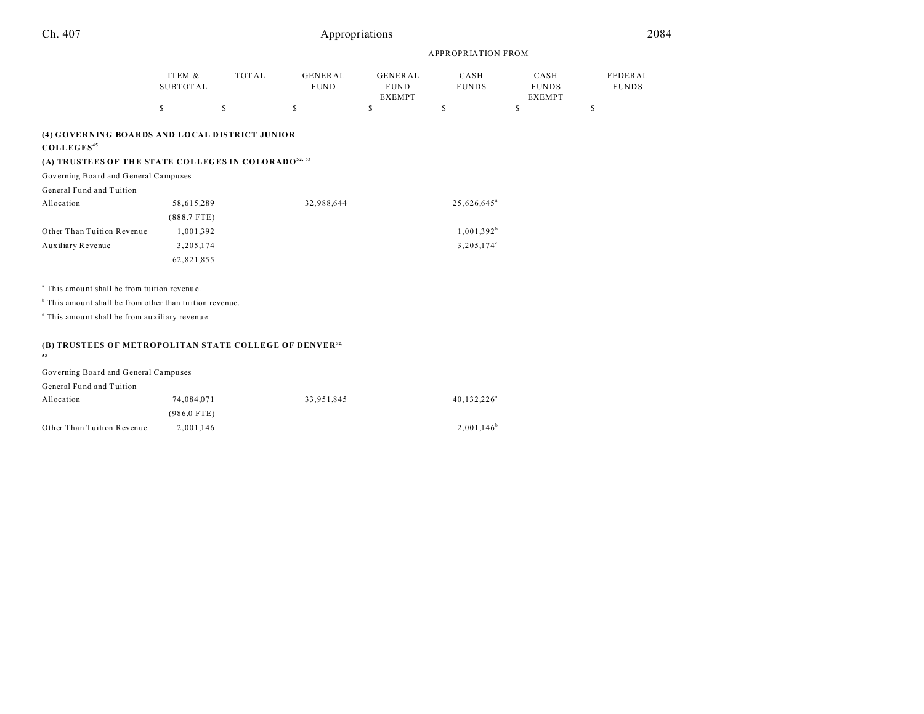|                                                                                                                                              |                           |              |                               |                                                | <b>APPROPRIATION FROM</b> |                                       |                         |
|----------------------------------------------------------------------------------------------------------------------------------------------|---------------------------|--------------|-------------------------------|------------------------------------------------|---------------------------|---------------------------------------|-------------------------|
|                                                                                                                                              | ITEM &<br><b>SUBTOTAL</b> | <b>TOTAL</b> | <b>GENERAL</b><br><b>FUND</b> | <b>GENERAL</b><br><b>FUND</b><br><b>EXEMPT</b> | CASH<br><b>FUNDS</b>      | CASH<br><b>FUNDS</b><br><b>EXEMPT</b> | FEDERAL<br><b>FUNDS</b> |
|                                                                                                                                              | $\mathbb S$               | \$           | $\mathbb S$                   | \$                                             | s                         | \$                                    | \$                      |
| (4) GOVERNING BOARDS AND LOCAL DISTRICT JUNIOR<br>COLLEGES <sup>45</sup><br>(A) TRUSTEES OF THE STATE COLLEGES IN COLORADO <sup>52, 53</sup> |                           |              |                               |                                                |                           |                                       |                         |
| Governing Board and General Campuses                                                                                                         |                           |              |                               |                                                |                           |                                       |                         |
| General Fund and Tuition                                                                                                                     |                           |              |                               |                                                |                           |                                       |                         |
| Allocation                                                                                                                                   | 58,615,289                |              | 32,988,644                    |                                                | 25,626,645 <sup>a</sup>   |                                       |                         |
|                                                                                                                                              | $(888.7$ FTE)             |              |                               |                                                |                           |                                       |                         |
| Other Than Tuition Revenue                                                                                                                   | 1,001,392                 |              |                               |                                                | $1,001,392^b$             |                                       |                         |
| Auxiliary Revenue                                                                                                                            | 3,205,174                 |              |                               |                                                | 3,205,174°                |                                       |                         |
|                                                                                                                                              | 62,821,855                |              |                               |                                                |                           |                                       |                         |
| <sup>a</sup> This amount shall be from tuition revenue.                                                                                      |                           |              |                               |                                                |                           |                                       |                         |
| <sup>b</sup> This amount shall be from other than tuition revenue.                                                                           |                           |              |                               |                                                |                           |                                       |                         |
| <sup>c</sup> This amount shall be from auxiliary revenue.                                                                                    |                           |              |                               |                                                |                           |                                       |                         |
| (B) TRUSTEES OF METROPOLITAN STATE COLLEGE OF DENVER <sup>52,</sup>                                                                          |                           |              |                               |                                                |                           |                                       |                         |
| 53                                                                                                                                           |                           |              |                               |                                                |                           |                                       |                         |

| Governing Board and General Campuses |               |            |                        |
|--------------------------------------|---------------|------------|------------------------|
| General Fund and Tuition             |               |            |                        |
| Allocation                           | 74.084.071    | 33.951.845 | 40,132,226             |
|                                      | $(986.0$ FTE) |            |                        |
| Other Than Tuition Revenue           | 2.001.146     |            | $2,001,146^{\text{h}}$ |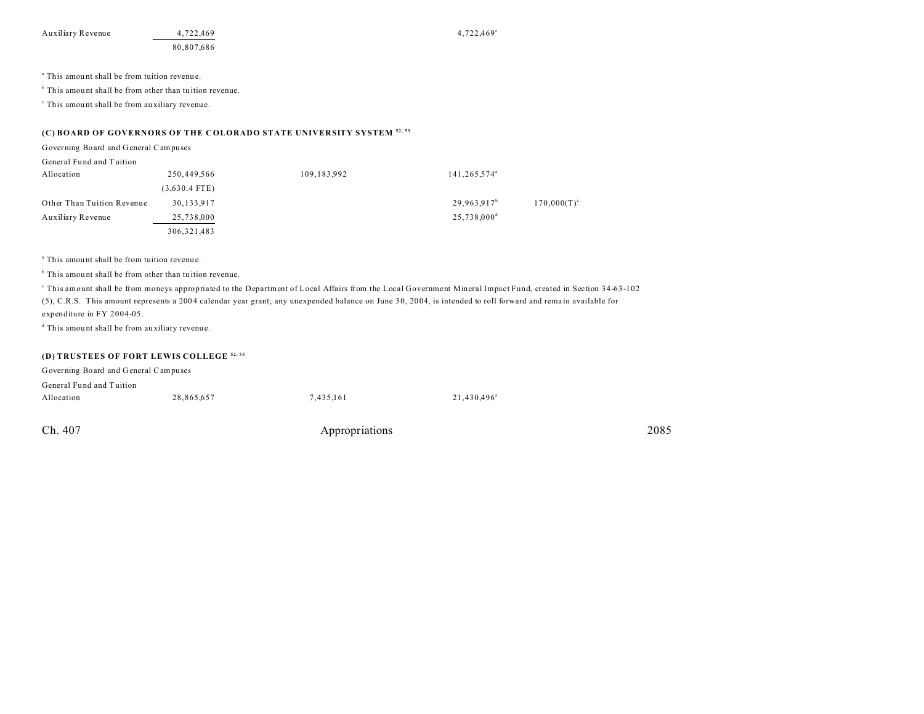Auxiliary Revenue 4,722,469 4,722,469 4,722,469 4,722,469 4,722,469 4,722,469 4,722,469 4,722,469 4,722,469 4,722,469 4,722,469 4,722,469 4,722,469 4,722,469 4,722,469 4,722,469 4,722,469 4,722,469 4,722,469 4,722,469 4,72

80,807,686

<sup>a</sup> This amount shall be from tuition revenue.

<sup>b</sup> This amount shall be from other than tuition revenue.

c This amou nt shall be from au xiliary revenue.

## **(C) BOARD OF GOVERNORS OF THE C OLORADO STATE UNIVERSITY SYSTEM 52, 53**

Governing Board and General Campuses

| General Fund and Tuition   |                 |             |                           |                      |
|----------------------------|-----------------|-------------|---------------------------|----------------------|
| Allocation                 | 250,449,566     | 109,183,992 | 141,265,574 <sup>a</sup>  |                      |
|                            | $(3,630.4$ FTE) |             |                           |                      |
| Other Than Tuition Revenue | 30,133,917      |             | $29,963,917^b$            | $170,000(T)^{\circ}$ |
| Auxiliary Revenue          | 25,738,000      |             | $25,738,000$ <sup>d</sup> |                      |
|                            | 306, 321, 483   |             |                           |                      |

<sup>a</sup> This amount shall be from tuition revenue.

<sup>b</sup> This amount shall be from other than tuition revenue.

This amount shall be from moneys appropriated to the Department of Local Affairs from the Local Government Mineral Impact Fund, created in Section 34-63-102 (5), C.R.S. This amount represents a 200 4 calendar year grant; any unexpended balance on June 3 0, 20 04, is intended to roll forward and rema in available for expenditure in FY 2004-05.

d This amou nt shall be from au xiliary revenue.

### **(D) TRUSTEES OF FORT LEWIS COLLEGE 52, 53**

| Governing Board and General Campuses |            |           |                         |
|--------------------------------------|------------|-----------|-------------------------|
| General Fund and Tuition             |            |           |                         |
| Allocation                           | 28.865.657 | 7,435,161 | 21,430,496 <sup>a</sup> |
|                                      |            |           |                         |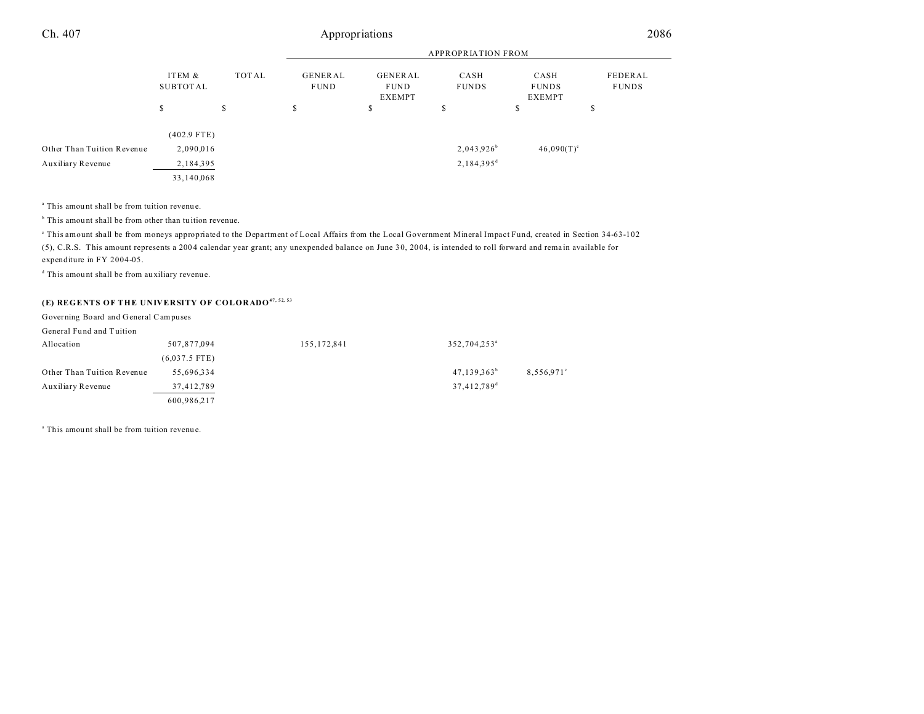|                            |                    |       | APPROPRIATION FROM            |                                         |                          |                                |                         |  |
|----------------------------|--------------------|-------|-------------------------------|-----------------------------------------|--------------------------|--------------------------------|-------------------------|--|
|                            | ITEM &<br>SUBTOTAL | TOTAL | <b>GENERAL</b><br><b>FUND</b> | GENERAL<br><b>FUND</b><br><b>EXEMPT</b> | CASH<br><b>FUNDS</b>     | CASH<br><b>FUNDS</b><br>EXEMPT | FEDERAL<br><b>FUNDS</b> |  |
|                            | \$                 | S     | s                             | ъ                                       | S                        | S                              | \$                      |  |
|                            | $(402.9$ FTE)      |       |                               |                                         |                          |                                |                         |  |
| Other Than Tuition Revenue | 2,090,016          |       |                               |                                         | $2,043,926^b$            | $46,090(T)^c$                  |                         |  |
| Auxiliary Revenue          | 2,184,395          |       |                               |                                         | $2,184,395$ <sup>d</sup> |                                |                         |  |
|                            | 33,140,068         |       |                               |                                         |                          |                                |                         |  |

<sup>a</sup> This amount shall be from tuition revenue.

<sup>b</sup> This amount shall be from other than tuition revenue.

This amount shall be from moneys appropriated to the Department of Local Affairs from the Local Government Mineral Impact Fund, created in Section 34-63-102 (5), C.R.S. This amount represents a 200 4 calendar year grant; any unexpended balance on June 3 0, 20 04, is intended to roll forward and rema in available for expenditure in FY 2004-05.

d This amou nt shall be from au xiliary revenue.

## **(E) REGENTS OF THE UNIVERSITY OF COLORADO47, 52, 53**

| Governing Board and General Campuses |                 |               |                          |            |
|--------------------------------------|-----------------|---------------|--------------------------|------------|
| General Fund and Tuition             |                 |               |                          |            |
| Allocation                           | 507,877,094     | 155, 172, 841 | 352,704,253 <sup>a</sup> |            |
|                                      | $(6,037.5$ FTE) |               |                          |            |
| Other Than Tuition Revenue           | 55,696,334      |               | $47,139,363^b$           | 8,556,971° |
| Auxiliary Revenue                    | 37,412,789      |               | 37,412,789 <sup>d</sup>  |            |
|                                      | 600,986,217     |               |                          |            |

<sup>a</sup> This amount shall be from tuition revenue.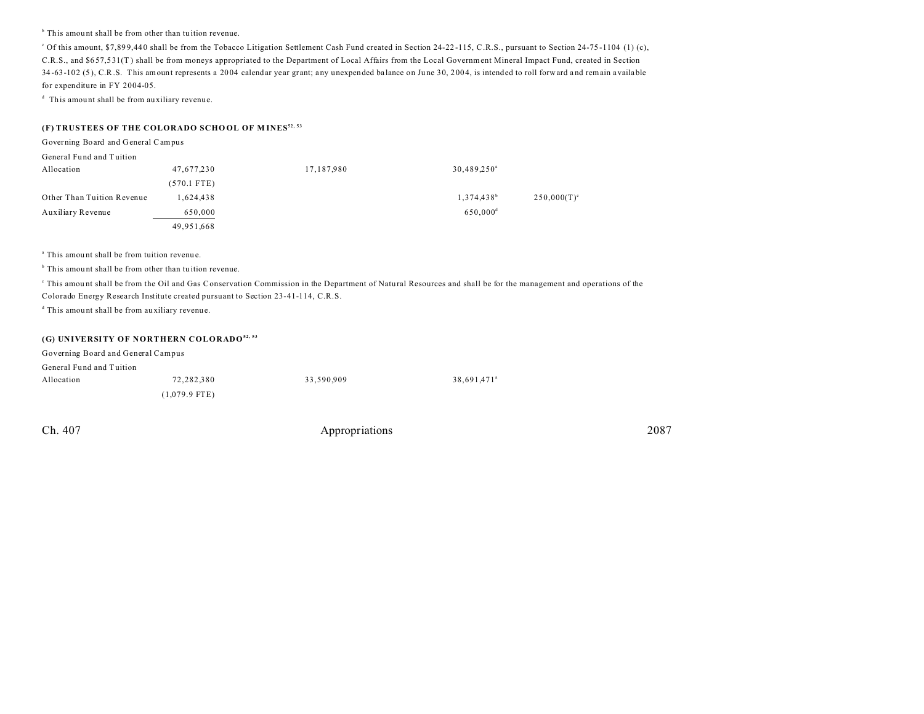<sup>b</sup> This amount shall be from other than tuition revenue.

<sup>c</sup> Of this amount, \$7,899,440 shall be from the Tobacco Litigation Settlement Cash Fund created in Section 24-22-115, C.R.S., pursuant to Section 24-75-1104 (1) (c), C.R.S., and \$6 57,5 31(T ) shall be from moneys appropriated to the Department of Local Affairs from the Local Government Mineral Impact Fund, created in Section 34-63-102 (5), C.R.S. This amount represents a 2004 calendar year grant; any unexpended balance on June 30, 2004, is intended to roll forward and remain available for expenditure in FY 2004-05.

d This amou nt shall be from au xiliary revenue.

### **(F) TRUSTEES OF THE COLORADO SCHO OL OF M INES52, 53**

| Governing Board and General Campus |               |            |                        |                      |
|------------------------------------|---------------|------------|------------------------|----------------------|
| General Fund and Tuition           |               |            |                        |                      |
| Allocation                         | 47,677,230    | 17,187,980 | $30,489,250^{\circ}$   |                      |
|                                    | $(570.1$ FTE) |            |                        |                      |
| Other Than Tuition Revenue         | 1,624,438     |            | 1,374,438 <sup>b</sup> | $250,000(T)^{\circ}$ |
| Auxiliary Revenue                  | 650,000       |            | $650,000$ <sup>d</sup> |                      |
|                                    | 49,951,668    |            |                        |                      |

<sup>a</sup> This amount shall be from tuition revenue.

<sup>b</sup> This amount shall be from other than tuition revenue.

This amount shall be from the Oil and Gas Conservation Commission in the Department of Natural Resources and shall be for the management and operations of the

Colorado Energy Research Institute created pursuant to Section 23-41-114, C.R.S.

d This amou nt shall be from au xiliary revenue.

### **(G) UNIVERSITY OF NORTHERN COLORADO52, 53**

| Governing Board and General Campus |                 |            |                         |
|------------------------------------|-----------------|------------|-------------------------|
| General Fund and Tuition           |                 |            |                         |
| Allocation                         | 72.282.380      | 33.590.909 | 38.691.471 <sup>a</sup> |
|                                    | $(1,079.9$ FTE) |            |                         |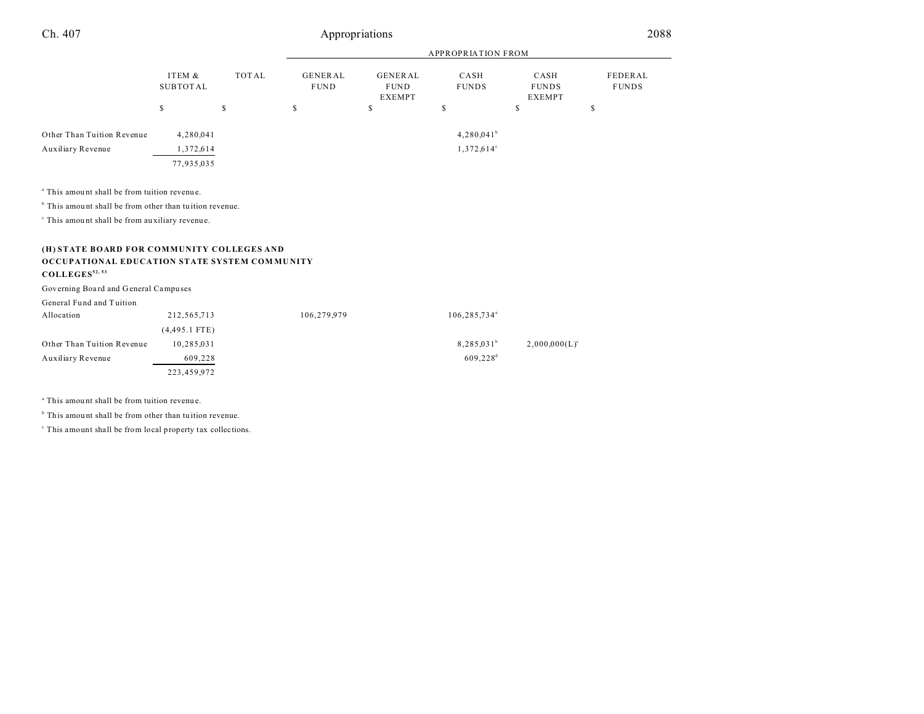|                                                                    |                           |       | <b>APPROPRIATION FROM</b>     |                                         |                          |                                       |                         |  |  |  |
|--------------------------------------------------------------------|---------------------------|-------|-------------------------------|-----------------------------------------|--------------------------|---------------------------------------|-------------------------|--|--|--|
|                                                                    | ITEM &<br><b>SUBTOTAL</b> | TOTAL | <b>GENERAL</b><br><b>FUND</b> | GENERAL<br><b>FUND</b><br><b>EXEMPT</b> | CASH<br><b>FUNDS</b>     | CASH<br><b>FUNDS</b><br><b>EXEMPT</b> | FEDERAL<br><b>FUNDS</b> |  |  |  |
|                                                                    | $\mathbb{S}$              | \$    | \$                            | \$                                      | $\mathbb{S}$             | \$                                    | \$                      |  |  |  |
| Other Than Tuition Revenue                                         | 4,280,041                 |       |                               |                                         | $4,280,041^b$            |                                       |                         |  |  |  |
| Auxiliary Revenue                                                  | 1,372,614                 |       |                               |                                         | $1,372,614^{\circ}$      |                                       |                         |  |  |  |
|                                                                    | 77,935,035                |       |                               |                                         |                          |                                       |                         |  |  |  |
|                                                                    |                           |       |                               |                                         |                          |                                       |                         |  |  |  |
| <sup>a</sup> This amount shall be from tuition revenue.            |                           |       |                               |                                         |                          |                                       |                         |  |  |  |
| <sup>b</sup> This amount shall be from other than tuition revenue. |                           |       |                               |                                         |                          |                                       |                         |  |  |  |
| <sup>c</sup> This amount shall be from auxiliary revenue.          |                           |       |                               |                                         |                          |                                       |                         |  |  |  |
|                                                                    |                           |       |                               |                                         |                          |                                       |                         |  |  |  |
| (H) STATE BOARD FOR COMMUNITY COLLEGES AND                         |                           |       |                               |                                         |                          |                                       |                         |  |  |  |
| OCCUPATIONAL EDUCATION STATE SYSTEM COMMUNITY                      |                           |       |                               |                                         |                          |                                       |                         |  |  |  |
| COLLEGES <sup>52, 53</sup>                                         |                           |       |                               |                                         |                          |                                       |                         |  |  |  |
| Governing Board and General Campuses                               |                           |       |                               |                                         |                          |                                       |                         |  |  |  |
| General Fund and Tuition                                           |                           |       |                               |                                         |                          |                                       |                         |  |  |  |
| Allocation                                                         | 212,565,713               |       | 106,279,979                   |                                         | 106,285,734 <sup>ª</sup> |                                       |                         |  |  |  |
|                                                                    | $(4,495.1$ FTE)           |       |                               |                                         |                          |                                       |                         |  |  |  |
| Other Than Tuition Revenue                                         | 10,285,031                |       |                               |                                         | $8,285,031^b$            | $2,000,000(L)^c$                      |                         |  |  |  |
| Auxiliary Revenue                                                  | 609,228                   |       |                               |                                         | $609,228$ <sup>d</sup>   |                                       |                         |  |  |  |
|                                                                    | 223,459,972               |       |                               |                                         |                          |                                       |                         |  |  |  |
|                                                                    |                           |       |                               |                                         |                          |                                       |                         |  |  |  |

<sup>a</sup> This amount shall be from tuition revenue.

<sup>b</sup> This amount shall be from other than tuition revenue.

c This amount shall be from local property tax collections.

÷,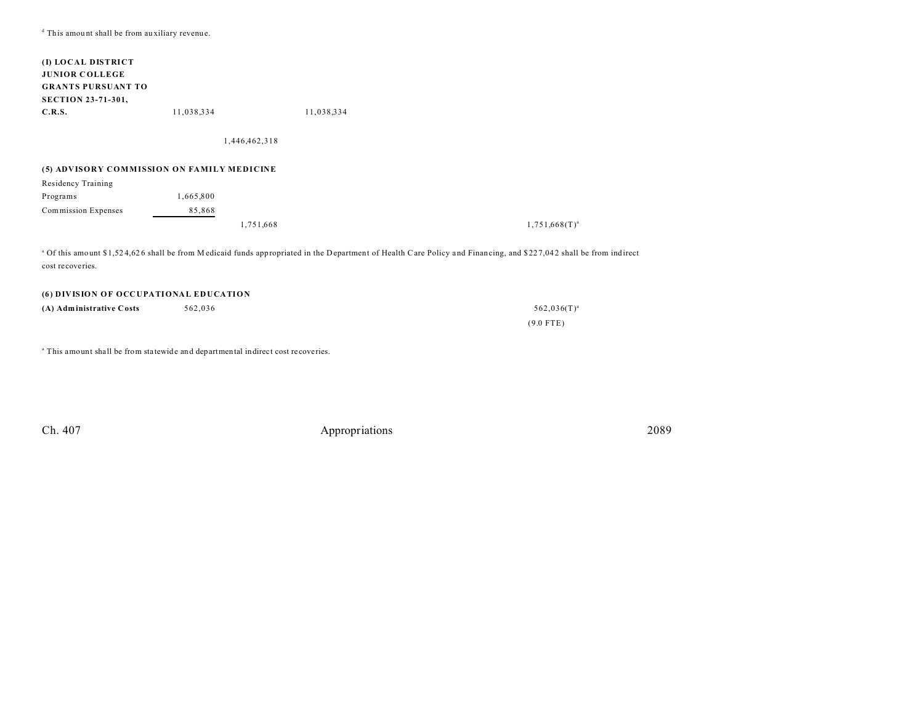d This amou nt shall be from au xiliary revenue.

| (I) LOCAL DISTRICT                         |            |               |                                                                                                                                                              |                    |
|--------------------------------------------|------------|---------------|--------------------------------------------------------------------------------------------------------------------------------------------------------------|--------------------|
| <b>JUNIOR COLLEGE</b>                      |            |               |                                                                                                                                                              |                    |
| <b>GRANTS PURSUANT TO</b>                  |            |               |                                                                                                                                                              |                    |
| <b>SECTION 23-71-301,</b>                  |            |               |                                                                                                                                                              |                    |
| C.R.S.                                     | 11,038,334 |               | 11,038,334                                                                                                                                                   |                    |
|                                            |            | 1,446,462,318 |                                                                                                                                                              |                    |
|                                            |            |               |                                                                                                                                                              |                    |
| (5) ADVISORY COMMISSION ON FAMILY MEDICINE |            |               |                                                                                                                                                              |                    |
| Residency Training                         |            |               |                                                                                                                                                              |                    |
| Programs                                   | 1,665,800  |               |                                                                                                                                                              |                    |
| Commission Expenses                        | 85,868     |               |                                                                                                                                                              |                    |
|                                            |            | 1,751,668     |                                                                                                                                                              | $1,751,668(T)^{a}$ |
|                                            |            |               |                                                                                                                                                              |                    |
|                                            |            |               | <sup>a</sup> Of this amount \$1,524,626 shall be from Medicaid funds appropriated in the Department of Health Care Policy and Financing, and \$227,042 shall |                    |

 $$227,042$  shall be from indirect cost recoveries.

| <b>(6) DIVISION OF OCCUPATIONAL EDUCATION</b> |         |                  |  |  |
|-----------------------------------------------|---------|------------------|--|--|
| (A) Administrative Costs                      | 562.036 | $562,036(T)^{a}$ |  |  |
|                                               |         | $(9.0$ FTE)      |  |  |

<sup>a</sup> This amount shall be from statewide and departmental indirect cost recoveries.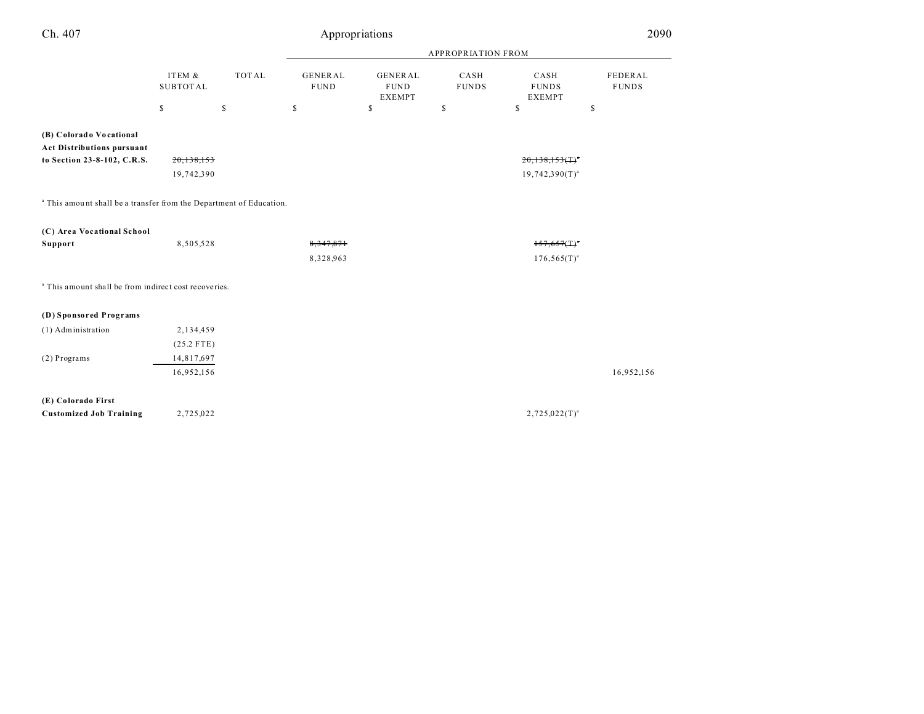| Ch. 407                                                                        |                           |              | 2090                          |                                                |                      |                                       |                         |  |  |
|--------------------------------------------------------------------------------|---------------------------|--------------|-------------------------------|------------------------------------------------|----------------------|---------------------------------------|-------------------------|--|--|
|                                                                                |                           |              |                               | <b>APPROPRIATION FROM</b>                      |                      |                                       |                         |  |  |
|                                                                                | ITEM &<br><b>SUBTOTAL</b> | <b>TOTAL</b> | <b>GENERAL</b><br><b>FUND</b> | <b>GENERAL</b><br><b>FUND</b><br><b>EXEMPT</b> | CASH<br><b>FUNDS</b> | CASH<br><b>FUNDS</b><br><b>EXEMPT</b> | FEDERAL<br><b>FUNDS</b> |  |  |
|                                                                                | $\mathbb S$               | $\mathbb S$  | $\mathbb{S}$                  | $\mathbb{S}$                                   | \$                   | $\mathbb{S}$                          | \$                      |  |  |
| (B) Colorado Vocational                                                        |                           |              |                               |                                                |                      |                                       |                         |  |  |
| <b>Act Distributions pursuant</b>                                              |                           |              |                               |                                                |                      |                                       |                         |  |  |
| to Section 23-8-102, C.R.S.                                                    | 20,138,153                |              |                               |                                                |                      | $20,138,153($ T) <sup>*</sup>         |                         |  |  |
|                                                                                | 19,742,390                |              |                               |                                                |                      | $19,742,390(T)^{a}$                   |                         |  |  |
|                                                                                |                           |              |                               |                                                |                      |                                       |                         |  |  |
| <sup>a</sup> This amount shall be a transfer from the Department of Education. |                           |              |                               |                                                |                      |                                       |                         |  |  |
| (C) Area Vocational School                                                     |                           |              |                               |                                                |                      |                                       |                         |  |  |
| Support                                                                        | 8,505,528                 |              | 8, 347, 871                   |                                                |                      | $157,657($ T) <sup>*</sup>            |                         |  |  |
|                                                                                |                           |              | 8,328,963                     |                                                |                      | $176,565(T)^{a}$                      |                         |  |  |
| <sup>a</sup> This amount shall be from indirect cost recoveries.               |                           |              |                               |                                                |                      |                                       |                         |  |  |
|                                                                                |                           |              |                               |                                                |                      |                                       |                         |  |  |
| (D) Sponsored Programs                                                         |                           |              |                               |                                                |                      |                                       |                         |  |  |
| (1) Administration                                                             | 2,134,459                 |              |                               |                                                |                      |                                       |                         |  |  |
|                                                                                | $(25.2$ FTE)              |              |                               |                                                |                      |                                       |                         |  |  |
| (2) Programs                                                                   | 14,817,697                |              |                               |                                                |                      |                                       |                         |  |  |
|                                                                                | 16,952,156                |              |                               |                                                |                      |                                       | 16,952,156              |  |  |
|                                                                                |                           |              |                               |                                                |                      |                                       |                         |  |  |
| (E) Colorado First<br><b>Customized Job Training</b>                           | 2,725,022                 |              |                               |                                                |                      | $2,725,022(T)^{a}$                    |                         |  |  |
|                                                                                |                           |              |                               |                                                |                      |                                       |                         |  |  |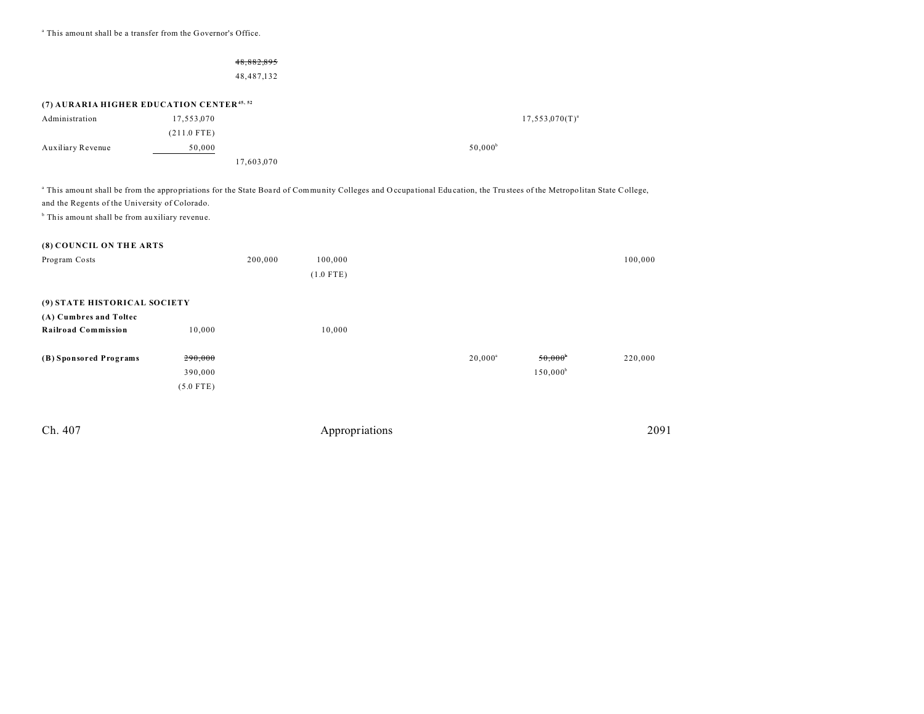<sup>a</sup> This amount shall be a transfer from the Governor's Office.

# 48,882,895

48,487,132

## **(7) AURARIA HIGHER EDUCATION CENTER45, 52**

| Administration    | 17,553,070    | $17,553,070(T)^{a}$ |
|-------------------|---------------|---------------------|
|                   | $(211.0$ FTE) |                     |
| Auxiliary Revenue | 50,000        | $50.000^{\circ}$    |
|                   | 17,603,070    |                     |

<sup>a</sup> This amount shall be from the appropriations for the State Board of Community Colleges and Occupational Education, the Trustees of the Metropolitan State College, and the Regents of the University of Colorado.

<sup>b</sup> This amount shall be from auxiliary revenue.

#### **(8) COUNCIL ON TH E ARTS**

| Program Costs                |             | 200,000 | 100,000     |            |                  | 100,000 |
|------------------------------|-------------|---------|-------------|------------|------------------|---------|
|                              |             |         | $(1.0$ FTE) |            |                  |         |
|                              |             |         |             |            |                  |         |
| (9) STATE HISTORICAL SOCIETY |             |         |             |            |                  |         |
| (A) Cumbres and Toltec       |             |         |             |            |                  |         |
| <b>Railroad Commission</b>   | 10,000      |         | 10,000      |            |                  |         |
|                              |             |         |             |            |                  |         |
| (B) Sponsored Programs       | 290,000     |         |             | $20,000^a$ | $50,000^{\circ}$ | 220,000 |
|                              | 390,000     |         |             |            | $150,000^b$      |         |
|                              | $(5.0$ FTE) |         |             |            |                  |         |
|                              |             |         |             |            |                  |         |
|                              |             |         |             |            |                  |         |

| 2091 |
|------|
|      |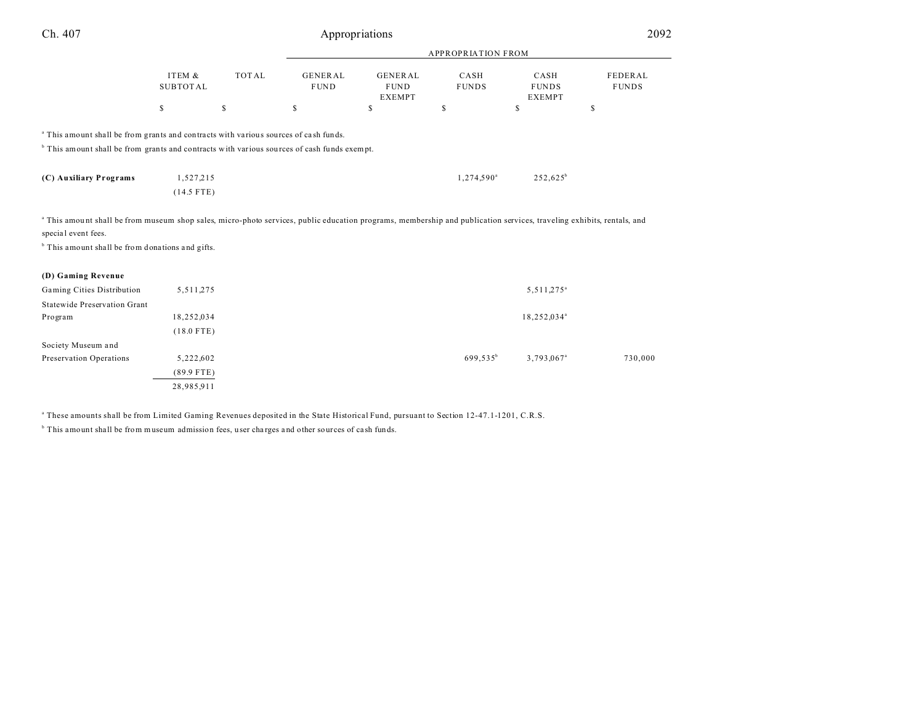| Ch. 407                                                                                                                                                                                                 |                           | Appropriations |                               |                                                |                      |                                       |                         |  |  |
|---------------------------------------------------------------------------------------------------------------------------------------------------------------------------------------------------------|---------------------------|----------------|-------------------------------|------------------------------------------------|----------------------|---------------------------------------|-------------------------|--|--|
|                                                                                                                                                                                                         |                           |                |                               | <b>APPROPRIATION FROM</b>                      |                      |                                       |                         |  |  |
|                                                                                                                                                                                                         | ITEM &<br><b>SUBTOTAL</b> | <b>TOTAL</b>   | <b>GENERAL</b><br><b>FUND</b> | <b>GENERAL</b><br><b>FUND</b><br><b>EXEMPT</b> | CASH<br><b>FUNDS</b> | CASH<br><b>FUNDS</b><br><b>EXEMPT</b> | FEDERAL<br><b>FUNDS</b> |  |  |
|                                                                                                                                                                                                         | \$                        | $\mathbb S$    | \$                            | <sup>\$</sup>                                  | \$                   | \$                                    | \$                      |  |  |
| <sup>a</sup> This amount shall be from grants and contracts with various sources of cash funds.                                                                                                         |                           |                |                               |                                                |                      |                                       |                         |  |  |
| <sup>b</sup> This amount shall be from grants and contracts with various sources of cash funds exempt.                                                                                                  |                           |                |                               |                                                |                      |                                       |                         |  |  |
| (C) Auxiliary Programs                                                                                                                                                                                  | 1,527,215                 |                |                               |                                                | $1,274,590^{\circ}$  | $252,625^b$                           |                         |  |  |
|                                                                                                                                                                                                         | $(14.5$ FTE)              |                |                               |                                                |                      |                                       |                         |  |  |
| <sup>a</sup> This amount shall be from museum shop sales, micro-photo services, public education programs, membership and publication services, traveling exhibits, rentals, and<br>special event fees. |                           |                |                               |                                                |                      |                                       |                         |  |  |
| <sup>b</sup> This amount shall be from donations and gifts.                                                                                                                                             |                           |                |                               |                                                |                      |                                       |                         |  |  |
| (D) Gaming Revenue                                                                                                                                                                                      |                           |                |                               |                                                |                      |                                       |                         |  |  |
| Gaming Cities Distribution                                                                                                                                                                              | 5,511,275                 |                |                               |                                                |                      | 5,511,275 <sup>a</sup>                |                         |  |  |
| Statewide Preservation Grant                                                                                                                                                                            |                           |                |                               |                                                |                      |                                       |                         |  |  |
| Program                                                                                                                                                                                                 | 18,252,034                |                |                               |                                                |                      | 18,252,034 <sup>ª</sup>               |                         |  |  |
|                                                                                                                                                                                                         | $(18.0$ FTE)              |                |                               |                                                |                      |                                       |                         |  |  |
| Society Museum and                                                                                                                                                                                      |                           |                |                               |                                                |                      |                                       |                         |  |  |
| <b>Preservation Operations</b>                                                                                                                                                                          | 5,222,602                 |                |                               |                                                | 699,535 <sup>b</sup> | 3,793,067 <sup>a</sup>                | 730,000                 |  |  |
|                                                                                                                                                                                                         | $(89.9$ FTE)              |                |                               |                                                |                      |                                       |                         |  |  |
|                                                                                                                                                                                                         | 28,985,911                |                |                               |                                                |                      |                                       |                         |  |  |

a These amounts shall be from Limited Gaming Revenues deposited in the State Historical Fund, pursuant to Section 12-47.1-1201, C.R.S.

<sup>b</sup> This amount shall be from museum admission fees, user charges and other sources of cash funds.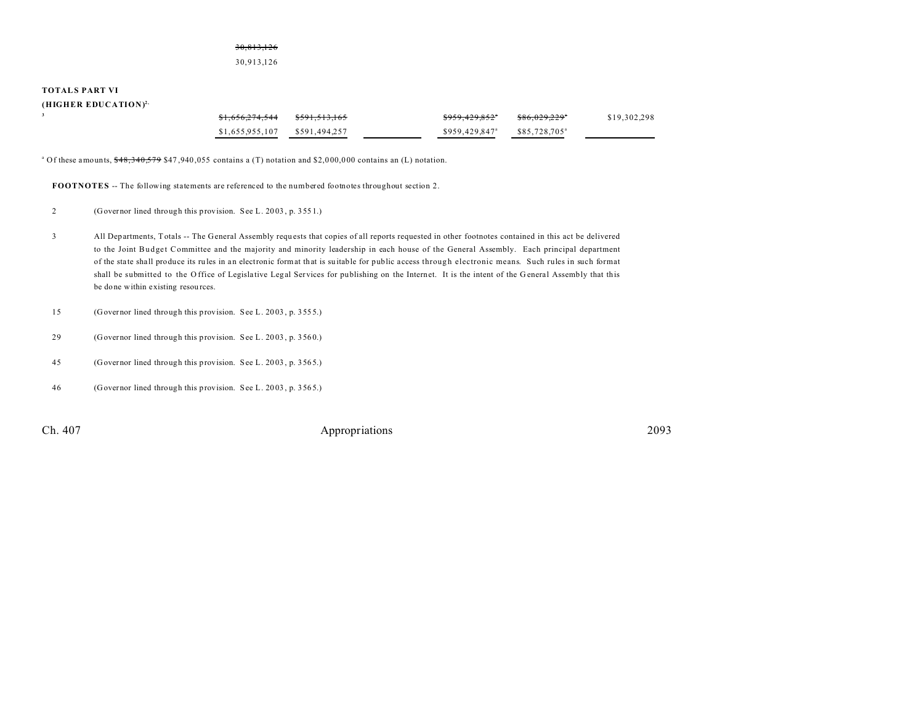### 30,813,126 30,913,126

#### **TOTALS PART VI**

| (HIGHER EDUCATION) <sup>2,</sup> |                            |               |                            |                           |              |
|----------------------------------|----------------------------|---------------|----------------------------|---------------------------|--------------|
|                                  | <del>\$1,656,274,544</del> | \$591.513.165 | <del>\$959,429,852</del> ° | \$86,029,229"             | \$19,302,298 |
|                                  | \$1.655.955.107            | \$591.494.257 | \$959,429,847 <sup>a</sup> | \$85,728,705 <sup>a</sup> |              |

<sup>a</sup> Of these amounts,  $\frac{648}{340}$ ,  $\frac{579}{347}$ ,  $\frac{940}{355}$  contains a (T) notation and \$2,000,000 contains an (L) notation.

**FOOTNOTES** -- The following statements are referenced to the numbered footnotes throughout section 2.

2 (Governor lined through this provision. See L. 20 03 , p. 355 1.)

- 3 All Departments, Totals -- The General Assembly requ ests that copies of all reports requested in other footnotes contained in this act be delivered to the Joint Budget Committee and the majority and minority leadership in each house of the General Assembly. Each principal department of the sta te sha ll produce its ru les in an electronic format that is su itable for public access throug h electronic means. Such rules in such format shall be submitted to the Office of Legislative Legal Services for publishing on the Internet. It is the intent of the General Assembly that this be done within existing resources.
- 15 (Governor lined through this provision. See L. 20 03 , p. 355 5.)
- 29 (Governor lined through this provision. See L. 20 03 , p. 356 0.)
- 45 (Governor lined through this provision. See L. 20 03 , p. 356 5.)
- 46 (Governor lined through this provision. See L. 20 03 , p. 356 5.)